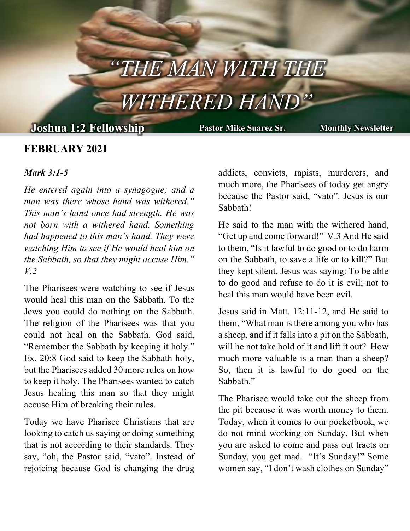

## **FEBRUARY 2021**

#### *Mark 3:1-5*

*He entered again into a synagogue; and a man was there whose hand was withered." This man's hand once had strength. He was not born with a withered hand. Something had happened to this man's hand. They were watching Him to see if He would heal him on the Sabbath, so that they might accuse Him." V.2*

The Pharisees were watching to see if Jesus would heal this man on the Sabbath. To the Jews you could do nothing on the Sabbath. The religion of the Pharisees was that you could not heal on the Sabbath. God said, "Remember the Sabbath by keeping it holy." Ex. 20:8 God said to keep the Sabbath holy, but the Pharisees added 30 more rules on how to keep it holy. The Pharisees wanted to catch Jesus healing this man so that they might accuse Him of breaking their rules.

Today we have Pharisee Christians that are looking to catch us saying or doing something that is not according to their standards. They say, "oh, the Pastor said, "vato". Instead of rejoicing because God is changing the drug

addicts, convicts, rapists, murderers, and much more, the Pharisees of today get angry because the Pastor said, "vato". Jesus is our Sabbath!

He said to the man with the withered hand, "Get up and come forward!" V.3 And He said to them, "Is it lawful to do good or to do harm on the Sabbath, to save a life or to kill?" But they kept silent. Jesus was saying: To be able to do good and refuse to do it is evil; not to heal this man would have been evil.

Jesus said in Matt. 12:11-12, and He said to them, "What man is there among you who has a sheep, and if it falls into a pit on the Sabbath, will he not take hold of it and lift it out? How much more valuable is a man than a sheep? So, then it is lawful to do good on the Sabbath"

The Pharisee would take out the sheep from the pit because it was worth money to them. Today, when it comes to our pocketbook, we do not mind working on Sunday. But when you are asked to come and pass out tracts on Sunday, you get mad. "It's Sunday!" Some women say, "I don't wash clothes on Sunday"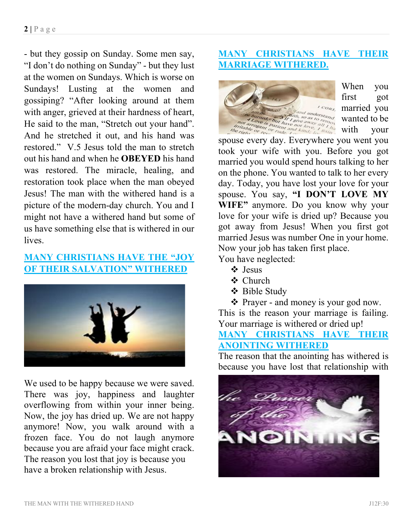- but they gossip on Sunday. Some men say, "I don't do nothing on Sunday" - but they lust at the women on Sundays. Which is worse on Sundays! Lusting at the women and gossiping? "After looking around at them with anger, grieved at their hardness of heart, He said to the man, "Stretch out your hand". And he stretched it out, and his hand was restored." V.5 Jesus told the man to stretch out his hand and when he **OBEYED** his hand was restored. The miracle, healing, and restoration took place when the man obeyed Jesus! The man with the withered hand is a picture of the modern-day church. You and I might not have a withered hand but some of us have something else that is withered in our lives.

# **MANY CHRISTIANS HAVE THE "JOY OF THEIR SALVATION" WITHERED**



We used to be happy because we were saved. There was joy, happiness and laughter overflowing from within your inner being. Now, the joy has dried up. We are not happy anymore! Now, you walk around with a frozen face. You do not laugh anymore because you are afraid your face might crack. The reason you lost that joy is because you have a broken relationship with Jesus.

## **MANY CHRISTIANS HAVE THEIR MARRIAGE WITHERED.**



When you first got married you wanted to be with your

took your wife with you. Before you got married you would spend hours talking to her on the phone. You wanted to talk to her every day. Today, you have lost your love for your spouse. You say, **"I DON'T LOVE MY WIFE"** anymore. Do you know why your love for your wife is dried up? Because you got away from Jesus! When you first got married Jesus was number One in your home. Now your job has taken first place.

You have neglected:

- v Jesus
- v Church
- **❖** Bible Study

 $\triangle$  Prayer - and money is your god now. This is the reason your marriage is failing. Your marriage is withered or dried up!

## **MANY CHRISTIANS HAVE THEIR ANOINTING WITHERED**

The reason that the anointing has withered is because you have lost that relationship with